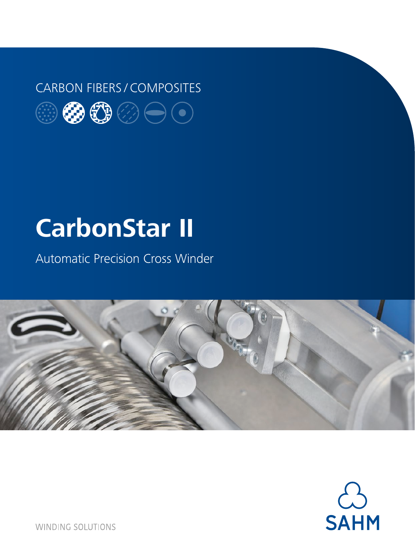### CARBON FIBERS / COMPOSITES



# **CarbonStar II**

Automatic Precision Cross Winder





**WINDING SOLUTIONS**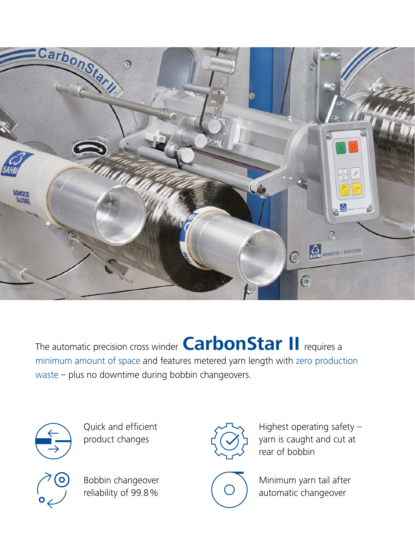

The automatic precision cross winder **CarbonStar II** requires a minimum amount of space and features metered yarn length with zero production waste – plus no downtime during bobbin changeovers.



Quick and efficient product changes



Bobbin changeover reliability of 99.8%



Highest operating safety – yarn is caught and cut at rear of bobbin



Minimum yarn tail after automatic changeover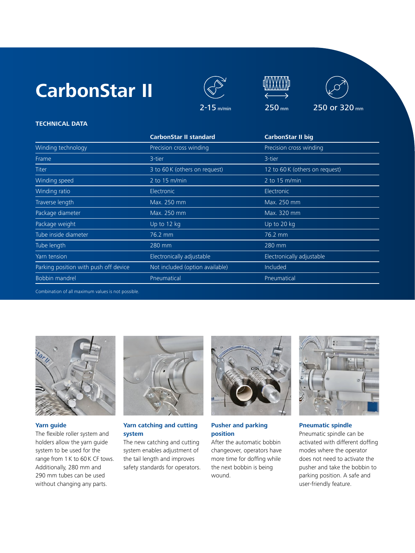







#### **TECHNICAL DATA**

|                                       | <b>CarbonStar II standard</b>   | <b>CarbonStar II big</b>       |
|---------------------------------------|---------------------------------|--------------------------------|
| Winding technology                    | Precision cross winding         | Precision cross winding        |
| Frame                                 | 3-tier                          | 3-tier                         |
| Titer                                 | 3 to 60 K (others on request)   | 12 to 60 K (others on request) |
| Winding speed                         | 2 to $15 \text{ m/min}$         | $2$ to 15 m/min                |
| Winding ratio                         | Electronic                      | Electronic                     |
| Traverse length                       | Max. 250 mm                     | Max. 250 mm                    |
| Package diameter                      | Max. 250 mm                     | Max. 320 mm                    |
| Package weight                        | Up to 12 kg                     | Up to 20 kg                    |
| Tube inside diameter                  | 76.2 mm                         | 76.2 mm                        |
| Tube length                           | 280 mm                          | 280 mm                         |
| Yarn tension                          | Electronically adjustable       | Electronically adjustable      |
| Parking position with push off device | Not included (option available) | Included                       |
| <b>Bobbin mandrel</b>                 | Pneumatical                     | Pneumatical                    |

Combination of all maximum values is not possible.



#### **Yarn guide**

The flexible roller system and holders allow the yarn guide system to be used for the range from 1 K to 60 K CF tows. Additionally, 280 mm and 290 mm tubes can be used without changing any parts.



#### **Yarn catching and cutting system**

The new catching and cutting system enables adjustment of the tail length and improves safety standards for operators.



#### **Pusher and parking position**

After the automatic bobbin changeover, operators have more time for doffing while the next bobbin is being wound.



**Pneumatic spindle**

Pneumatic spindle can be activated with different doffing modes where the operator does not need to activate the pusher and take the bobbin to parking position. A safe and user-friendly feature.